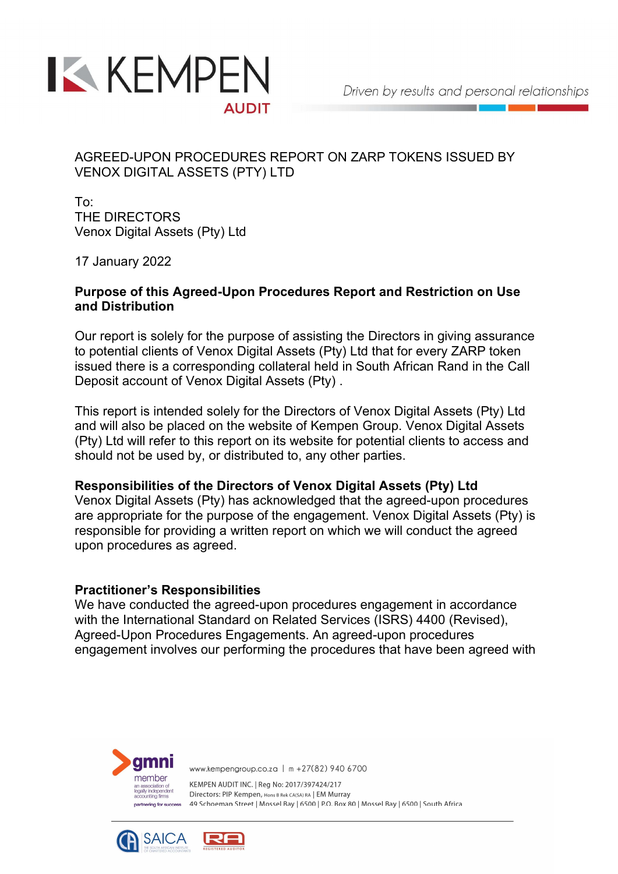

# AGREED-UPON PROCEDURES REPORT ON ZARP TOKENS ISSUED BY VENOX DIGITAL ASSETS (PTY) LTD

To: THE DIRECTORS Venox Digital Assets (Pty) Ltd

17 January 2022

### Purpose of this Agreed-Upon Procedures Report and Restriction on Use and Distribution

Our report is solely for the purpose of assisting the Directors in giving assurance to potential clients of Venox Digital Assets (Pty) Ltd that for every ZARP token issued there is a corresponding collateral held in South African Rand in the Call Deposit account of Venox Digital Assets (Pty) .

This report is intended solely for the Directors of Venox Digital Assets (Pty) Ltd and will also be placed on the website of Kempen Group. Venox Digital Assets (Pty) Ltd will refer to this report on its website for potential clients to access and should not be used by, or distributed to, any other parties.

### Responsibilities of the Directors of Venox Digital Assets (Pty) Ltd

Venox Digital Assets (Pty) has acknowledged that the agreed-upon procedures are appropriate for the purpose of the engagement. Venox Digital Assets (Pty) is responsible for providing a written report on which we will conduct the agreed upon procedures as agreed.

## Practitioner's Responsibilities

We have conducted the agreed-upon procedures engagement in accordance with the International Standard on Related Services (ISRS) 4400 (Revised), Agreed-Upon Procedures Engagements. An agreed-upon procedures engagement involves our performing the procedures that have been agreed with



www.kempengroup.co.za | m +27(82) 940 6700

KEMPEN AUDIT INC. | Reg No: 2017/397424/217 Directors: PIP Kempen, Hons B Rek CA(SA) RA | EM Murray 49 Schoeman Street | Mossel Bay | 6500 | P.O. Box 80 | Mossel Bay | 6500 | South Africa

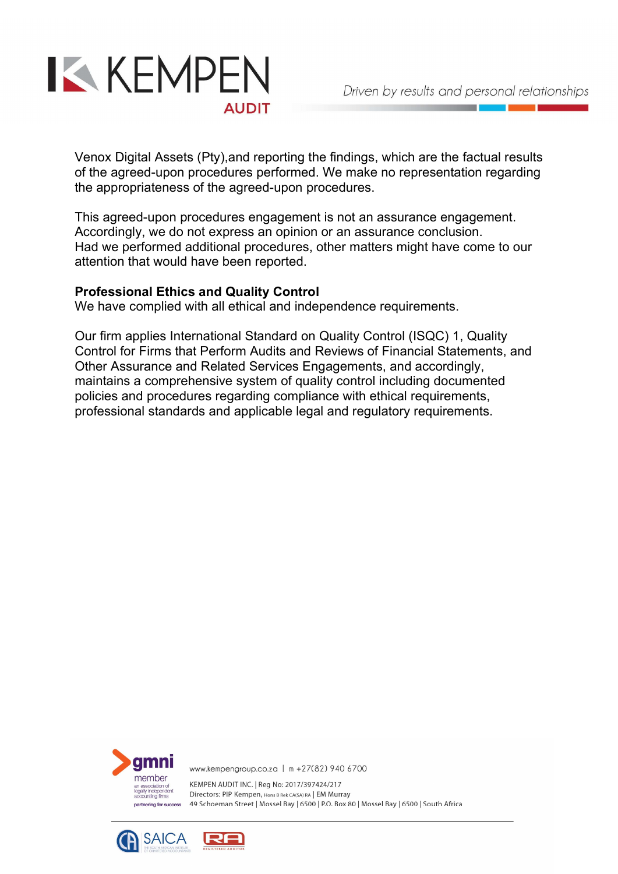

Venox Digital Assets (Pty),and reporting the findings, which are the factual results of the agreed-upon procedures performed. We make no representation regarding the appropriateness of the agreed-upon procedures.

This agreed-upon procedures engagement is not an assurance engagement. Accordingly, we do not express an opinion or an assurance conclusion. Had we performed additional procedures, other matters might have come to our attention that would have been reported.

### Professional Ethics and Quality Control

We have complied with all ethical and independence requirements.

Our firm applies International Standard on Quality Control (ISQC) 1, Quality Control for Firms that Perform Audits and Reviews of Financial Statements, and Other Assurance and Related Services Engagements, and accordingly, maintains a comprehensive system of quality control including documented policies and procedures regarding compliance with ethical requirements, professional standards and applicable legal and regulatory requirements.



www.kempengroup.co.za | m +27(82) 940 6700

KEMPEN AUDIT INC. | Reg No: 2017/397424/217 Directors: PIP Kempen, Hons B Rek CA(SA) RA | EM Murray 49 Schoeman Street | Mossel Bay | 6500 | P.O. Box 80 | Mossel Bay | 6500 | South Africa

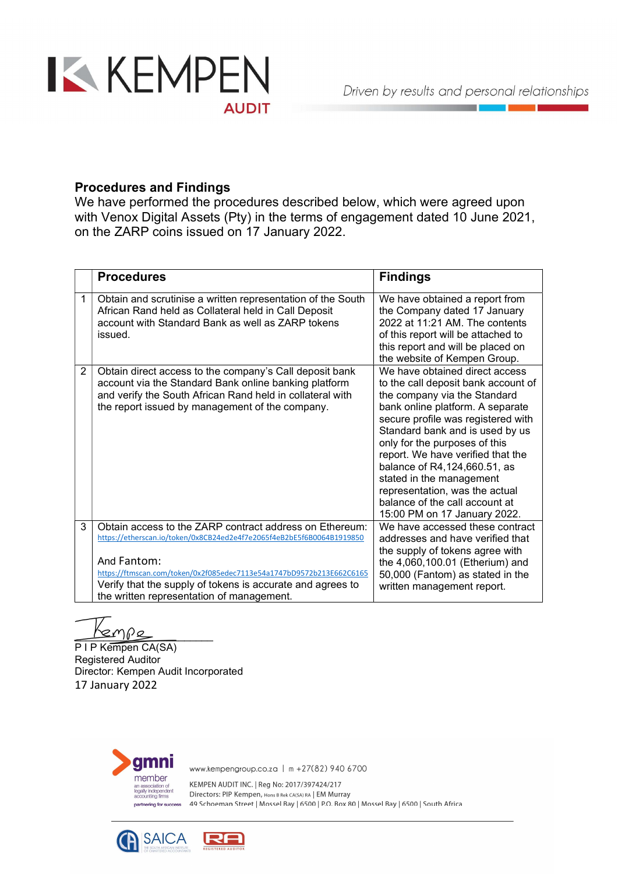

### Procedures and Findings

We have performed the procedures described below, which were agreed upon with Venox Digital Assets (Pty) in the terms of engagement dated 10 June 2021, on the ZARP coins issued on 17 January 2022.

|                | <b>Procedures</b>                                                                                                                                                                                                                                                                                                                  | <b>Findings</b>                                                                                                                                                                                                                                                                                                                                                                                                                                          |
|----------------|------------------------------------------------------------------------------------------------------------------------------------------------------------------------------------------------------------------------------------------------------------------------------------------------------------------------------------|----------------------------------------------------------------------------------------------------------------------------------------------------------------------------------------------------------------------------------------------------------------------------------------------------------------------------------------------------------------------------------------------------------------------------------------------------------|
| 1              | Obtain and scrutinise a written representation of the South<br>African Rand held as Collateral held in Call Deposit<br>account with Standard Bank as well as ZARP tokens<br>issued.                                                                                                                                                | We have obtained a report from<br>the Company dated 17 January<br>2022 at $11:21$ AM. The contents<br>of this report will be attached to<br>this report and will be placed on<br>the website of Kempen Group.                                                                                                                                                                                                                                            |
| $\overline{2}$ | Obtain direct access to the company's Call deposit bank<br>account via the Standard Bank online banking platform<br>and verify the South African Rand held in collateral with<br>the report issued by management of the company.                                                                                                   | We have obtained direct access<br>to the call deposit bank account of<br>the company via the Standard<br>bank online platform. A separate<br>secure profile was registered with<br>Standard bank and is used by us<br>only for the purposes of this<br>report. We have verified that the<br>balance of R4,124,660.51, as<br>stated in the management<br>representation, was the actual<br>balance of the call account at<br>15:00 PM on 17 January 2022. |
| 3              | Obtain access to the ZARP contract address on Ethereum:<br>https://etherscan.io/token/0x8CB24ed2e4f7e2065f4eB2bE5f6B0064B1919850<br>And Fantom:<br>https://ftmscan.com/token/0x2f085edec7113e54a1747bD9572b213E662C6165<br>Verify that the supply of tokens is accurate and agrees to<br>the written representation of management. | We have accessed these contract<br>addresses and have verified that<br>the supply of tokens agree with<br>the 4,060,100.01 (Etherium) and<br>50,000 (Fantom) as stated in the<br>written management report.                                                                                                                                                                                                                                              |

 $\frac{1}{2}$ 

P I P Kempen CA(SA) Registered Auditor Director: Kempen Audit Incorporated 17 January 2022



www.kempengroup.co.za | m +27(82) 940 6700

KEMPEN AUDIT INC. | Reg No: 2017/397424/217 Directors: PIP Kempen, Hons B Rek CA(SA) RA | EM Murray 49 Schoeman Street | Mossel Bay | 6500 | P.O. Box 80 | Mossel Bay | 6500 | South Africa